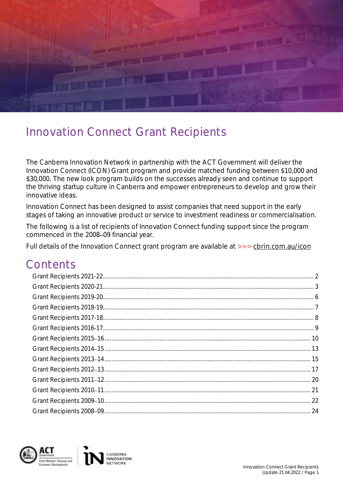

# Innovation Connect Grant Recipients

The Canberra Innovation Network in partnership with the ACT Government will deliver the Innovation Connect (ICON) Grant program and provide matched funding between \$10,000 and \$30,000. The new look program builds on the successes already seen and continue to support the thriving startup culture in Canberra and empower entrepreneurs to develop and grow their innovative ideas.

Innovation Connect has been designed to assist companies that need support in the early stages of taking an innovative product or service to investment readiness or commercialisation.

The following is a list of recipients of Innovation Connect funding support since the program commenced in the 2008-09 financial year.

Full details of the Innovation Connect grant program are available at [>>> cbrin.com.au/icon](https://cbrin.com.au/icon)

### **Contents**

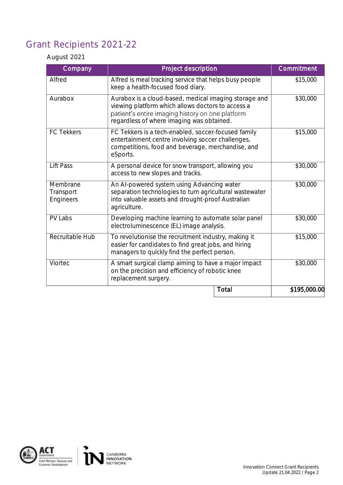### <span id="page-1-0"></span>Grant Recipients 2021-22

### August 2021

| Company                            | Project description                                                                                                                                                                                         | Commitment   |
|------------------------------------|-------------------------------------------------------------------------------------------------------------------------------------------------------------------------------------------------------------|--------------|
| Alfred                             | Alfred is meal tracking service that helps busy people<br>keep a health-focused food diary.                                                                                                                 | \$15,000     |
| Aurabox                            | Aurabox is a cloud-based, medical imaging storage and<br>viewing platform which allows doctors to access a<br>patient's entire imaging history on one platform<br>regardless of where imaging was obtained. | \$30,000     |
| <b>FC Tekkers</b>                  | FC Tekkers is a tech-enabled, soccer-focused family<br>entertainment centre involving soccer challenges,<br>competitions, food and beverage, merchandise, and<br>eSports.                                   | \$15,000     |
| Lift Pass                          | A personal device for snow transport, allowing you<br>access to new slopes and tracks.                                                                                                                      | \$30,000     |
| Membrane<br>Transport<br>Engineers | An Al-powered system using Advancing water<br>separation technologies to turn agricultural wastewater<br>into valuable assets and drought-proof Australian<br>agriculture.                                  | \$30,000     |
| PV Labs                            | Developing machine learning to automate solar panel<br>electroluminescence (EL) image analysis.                                                                                                             | \$30,000     |
| Recruitable Hub                    | To revolutionise the recruitment industry, making it<br>easier for candidates to find great jobs, and hiring<br>managers to quickly find the perfect person.                                                | \$15,000     |
| Viortec                            | A smart surgical clamp aiming to have a major impact<br>on the precision and efficiency of robotic knee<br>replacement surgery.                                                                             | \$30,000     |
|                                    | Total                                                                                                                                                                                                       | \$195,000.00 |

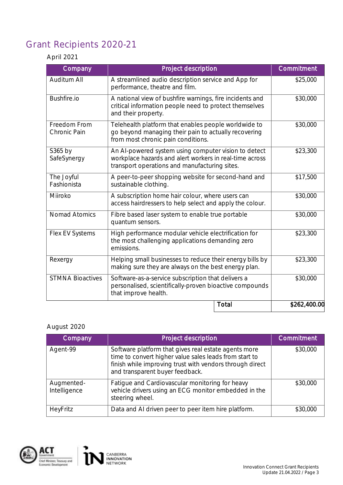### <span id="page-2-0"></span>Grant Recipients 2020-21

### April 2021

| Company                      | Project description                                                                                                                                              | Commitment   |
|------------------------------|------------------------------------------------------------------------------------------------------------------------------------------------------------------|--------------|
| <b>Auditum All</b>           | A streamlined audio description service and App for<br>performance, theatre and film.                                                                            | \$25,000     |
| Bushfire.io                  | A national view of bushfire warnings, fire incidents and<br>critical information people need to protect themselves<br>and their property.                        | \$30,000     |
| Freedom From<br>Chronic Pain | Telehealth platform that enables people worldwide to<br>go beyond managing their pain to actually recovering<br>from most chronic pain conditions.               | \$30,000     |
| S365 by<br>SafeSynergy       | An Al-powered system using computer vision to detect<br>workplace hazards and alert workers in real-time across<br>transport operations and manufacturing sites. | \$23,300     |
| The Joyful<br>Fashionista    | A peer-to-peer shopping website for second-hand and<br>sustainable clothing.                                                                                     | \$17,500     |
| Miiroko                      | A subscription home hair colour, where users can<br>access hairdressers to help select and apply the colour.                                                     | \$30,000     |
| <b>Nomad Atomics</b>         | Fibre based laser system to enable true portable<br>quantum sensors.                                                                                             | \$30,000     |
| Flex EV Systems              | High performance modular vehicle electrification for<br>the most challenging applications demanding zero<br>emissions.                                           | \$23,300     |
| Rexergy                      | Helping small businesses to reduce their energy bills by<br>making sure they are always on the best energy plan.                                                 | \$23,300     |
| <b>STMNA Bioactives</b>      | Software-as-a-service subscription that delivers a<br>personalised, scientifically-proven bioactive compounds<br>that improve health.                            | \$30,000     |
|                              | Total                                                                                                                                                            | \$262,400.00 |

### August 2020

| Company                    | Project description                                                                                                                                                                                           | Commitment |
|----------------------------|---------------------------------------------------------------------------------------------------------------------------------------------------------------------------------------------------------------|------------|
| Agent-99                   | Software platform that gives real estate agents more<br>time to convert higher value sales leads from start to<br>finish while improving trust with vendors through direct<br>and transparent buyer feedback. | \$30,000   |
| Augmented-<br>Intelligence | Fatigue and Cardiovascular monitoring for heavy<br>vehicle drivers using an ECG monitor embedded in the<br>steering wheel.                                                                                    | \$30,000   |
| HeyFritz                   | Data and AI driven peer to peer item hire platform.                                                                                                                                                           | \$30,000   |

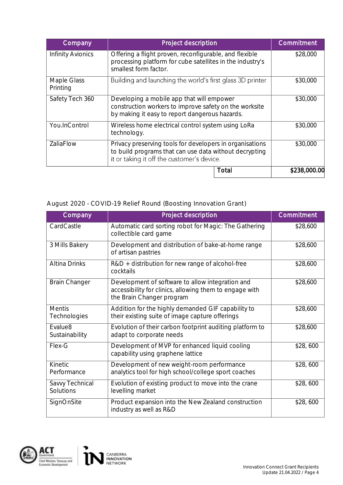| Company                 | Project description                                                                                                                                              | Commitment   |
|-------------------------|------------------------------------------------------------------------------------------------------------------------------------------------------------------|--------------|
| Infinity Avionics       | Offering a flight proven, reconfigurable, and flexible<br>processing platform for cube satellites in the industry's<br>smallest form factor.                     | \$28,000     |
| Maple Glass<br>Printing | Building and launching the world's first glass 3D printer                                                                                                        | \$30,000     |
| Safety Tech 360         | Developing a mobile app that will empower<br>construction workers to improve safety on the worksite<br>by making it easy to report dangerous hazards.            | \$30,000     |
| You.InControl           | Wireless home electrical control system using LoRa<br>technology.                                                                                                | \$30,000     |
| ZaliaFlow               | Privacy preserving tools for developers in organisations<br>to build programs that can use data without decrypting<br>it or taking it off the customer's device. | \$30,000     |
|                         | Total                                                                                                                                                            | \$238,000.00 |

August 2020 - COVID-19 Relief Round (Boosting Innovation Grant)

| Company                               | <b>Project description</b>                                                                                                               | Commitment |
|---------------------------------------|------------------------------------------------------------------------------------------------------------------------------------------|------------|
| CardCastle                            | Automatic card sorting robot for Magic: The Gathering<br>collectible card game                                                           | \$28,600   |
| 3 Mills Bakery                        | Development and distribution of bake-at-home range<br>of artisan pastries                                                                | \$28,600   |
| Altina Drinks                         | $R&D +$ distribution for new range of alcohol-free<br>cocktails                                                                          | \$28,600   |
| <b>Brain Changer</b>                  | Development of software to allow integration and<br>accessibility for clinics, allowing them to engage with<br>the Brain Changer program | \$28,600   |
| <b>Mentis</b><br>Technologies         | Addition for the highly demanded GIF capability to<br>their existing suite of image capture offerings                                    | \$28,600   |
| Evalue <sub>8</sub><br>Sustainability | Evolution of their carbon footprint auditing platform to<br>adapt to corporate needs                                                     | \$28,600   |
| Flex-G                                | Development of MVP for enhanced liquid cooling<br>capability using graphene lattice                                                      | \$28,600   |
| Kinetic<br>Performance                | Development of new weight-room performance<br>analytics tool for high school/college sport coaches                                       | \$28,600   |
| Savvy Technical<br>Solutions          | Evolution of existing product to move into the crane<br>levelling market                                                                 | \$28,600   |
| SignOnSite                            | Product expansion into the New Zealand construction<br>industry as well as R&D                                                           | \$28,600   |

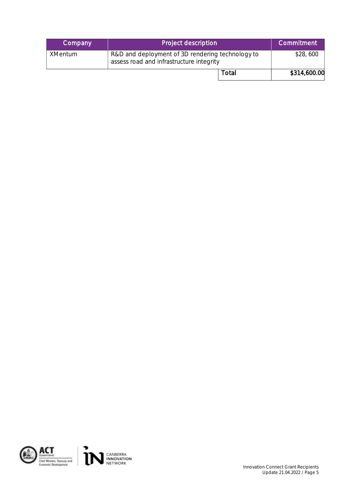| Company        | Project description                                                                          | <b>Commitment</b> |
|----------------|----------------------------------------------------------------------------------------------|-------------------|
| <b>XMentum</b> | R&D and deployment of 3D rendering technology to<br>assess road and infrastructure integrity | \$28,600          |
|                | Total                                                                                        | \$314,600.00      |

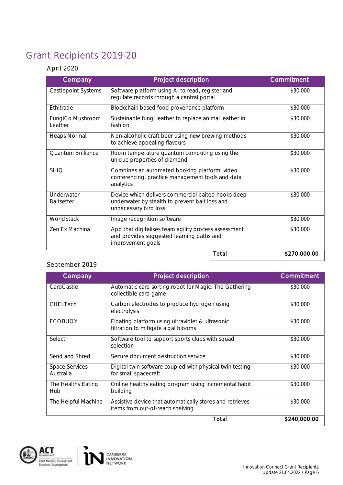# <span id="page-5-0"></span>Grant Recipients 2019-20

### April 2020

| Company                         | Project description                                                                                                            | Commitment   |
|---------------------------------|--------------------------------------------------------------------------------------------------------------------------------|--------------|
| <b>Castlepoint Systems</b>      | Software platform using AI to read, register and<br>regulate records through a central portal                                  | \$30,000     |
| Ethitrade                       | Blockchain based food provenance platform                                                                                      | \$30,000     |
| FungiCo Mushroom<br>Leather     | Sustainable fungi leather to replace animal leather in<br>fashion                                                              | \$30,000     |
| Heaps Normal                    | Non-alcoholic craft beer using new brewing methods<br>to achieve appealing flavours                                            | \$30,000     |
| Quantum Brilliance              | Room temperature quantum computing using the<br>unique properties of diamond                                                   | \$30,000     |
| <b>SIHQ</b>                     | Combines an automated booking platform, video<br>conferencing, practice management tools and data<br>analytics                 | \$30,000     |
| Underwater<br><b>Baitsetter</b> | Device which delivers commercial baited hooks deep<br>underwater by stealth to prevent bait loss and<br>unnecessary bird loss. | \$30,000     |
| WorldStack                      | Image recognition software                                                                                                     | \$30,000     |
| Zen Ex Machina                  | App that digitalises team agility process assessment<br>and provides suggested learning paths and<br>improvement goals         | \$30,000     |
|                                 | Total                                                                                                                          | \$270,000.00 |

### September 2019

| Company                            | Project description                                                                          | Commitment   |
|------------------------------------|----------------------------------------------------------------------------------------------|--------------|
| CardCastle                         | Automatic card sorting robot for Magic: The Gathering<br>collectible card game               | \$30,000     |
| CHELTech                           | Carbon electrodes to produce hydrogen using<br>electrolysis                                  | \$30,000     |
| <b>ECOBUOY</b>                     | Floating platform using ultraviolet & ultrasonic<br>filtration to mitigate algal blooms      | \$30,000     |
| Selectr                            | Software tool to support sports clubs with squad<br>selection                                | \$30,000     |
| Send and Shred                     | Secure document destruction service                                                          | \$30,000     |
| <b>Space Services</b><br>Australia | Digital twin software coupled with physical twin testing<br>for small spacecraft             | \$30,000     |
| The Healthy Eating<br>Hub          | Online healthy eating program using incremental habit<br>building                            | \$30,000     |
| The Helpful Machine                | Assistive device that automatically stores and retrieves<br>items from out-of-reach shelving | \$30,000     |
|                                    | Total                                                                                        | \$240,000.00 |

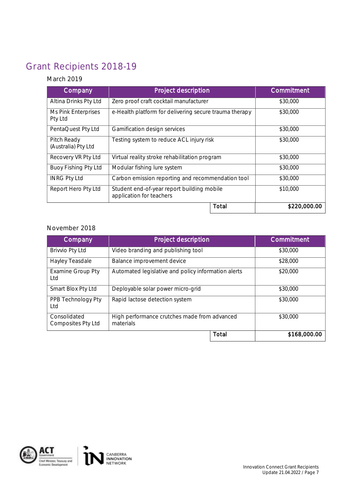### <span id="page-6-0"></span>Grant Recipients 2018-19

### March 2019

| Company                            | Project description                                                    | Commitment   |
|------------------------------------|------------------------------------------------------------------------|--------------|
| Altina Drinks Pty Ltd              | Zero proof craft cocktail manufacturer                                 | \$30,000     |
| Ms Pink Enterprises<br>Pty Ltd     | e-Health platform for delivering secure trauma therapy                 | \$30,000     |
| PentaQuest Pty Ltd                 | Gamification design services                                           | \$30,000     |
| Pitch Ready<br>(Australia) Pty Ltd | Testing system to reduce ACL injury risk                               | \$30,000     |
| Recovery VR Pty Ltd                | Virtual reality stroke rehabilitation program                          | \$30,000     |
| Buoy Fishing Pty Ltd               | Modular fishing lure system                                            | \$30,000     |
| <b>INRG Pty Ltd</b>                | Carbon emission reporting and recommendation tool                      | \$30,000     |
| Report Hero Pty Ltd                | Student end-of-year report building mobile<br>application for teachers | \$10,000     |
|                                    | Total                                                                  | \$220,000.00 |

#### November 2018

| Company                            | Project description                                       |  | <b>Commitment</b> |
|------------------------------------|-----------------------------------------------------------|--|-------------------|
| <b>Brivvio Pty Ltd</b>             | Video branding and publishing tool                        |  | \$30,000          |
| Hayley Teasdale                    | Balance improvement device                                |  | \$28,000          |
| <b>Examine Group Pty</b><br>Ltd    | Automated legislative and policy information alerts       |  | \$20,000          |
| Smart Blox Pty Ltd                 | Deployable solar power micro-grid                         |  | \$30,000          |
| PPB Technology Pty<br>Ltd          | Rapid lactose detection system                            |  | \$30,000          |
| Consolidated<br>Composites Pty Ltd | High performance crutches made from advanced<br>materials |  | \$30,000          |
|                                    | Total                                                     |  | \$168,000.00      |

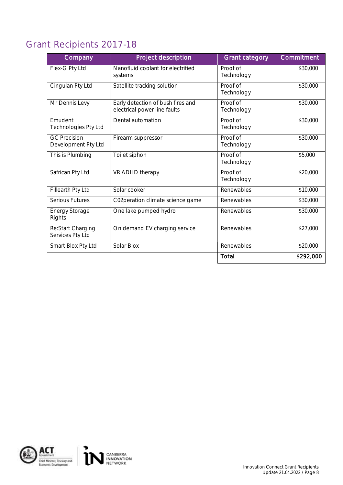## <span id="page-7-0"></span>Grant Recipients 2017-18

| Company                                    | Project description                                               | <b>Grant category</b>  | Commitment           |
|--------------------------------------------|-------------------------------------------------------------------|------------------------|----------------------|
| Flex-G Pty Ltd                             | Nanofluid coolant for electrified<br>systems                      | Proof of<br>Technology | \$30,000             |
| Cingulan Pty Ltd                           | Satellite tracking solution                                       | Proof of<br>Technology | \$30,000             |
| Mr Dennis Levy                             | Early detection of bush fires and<br>electrical power line faults | Proof of<br>Technology | \$30,000             |
| Emudent<br>Technologies Pty Ltd            | Dental automation                                                 | Proof of<br>Technology | \$30,000             |
| <b>GC Precision</b><br>Development Pty Ltd | Firearm suppressor                                                | Proof of<br>Technology | \$30,000             |
| This is Plumbing                           | Toilet siphon                                                     | Proof of<br>Technology | \$5,000              |
| Safrican Pty Ltd                           | VR ADHD therapy                                                   | Proof of<br>Technology | \$20,000             |
| Fillearth Pty Ltd                          | Solar cooker                                                      | Renewables             | \$10,000             |
| Serious Futures                            | C02peration climate science game                                  | Renewables             | \$30,000             |
| <b>Energy Storage</b><br>Rights            | One lake pumped hydro                                             | Renewables             | $\overline{$}30,000$ |
| Re:Start Charging<br>Services Pty Ltd      | On demand EV charging service                                     | Renewables             | \$27,000             |
| Smart Blox Pty Ltd                         | Solar Blox                                                        | Renewables             | \$20,000             |
|                                            |                                                                   | Total                  | \$292,000            |

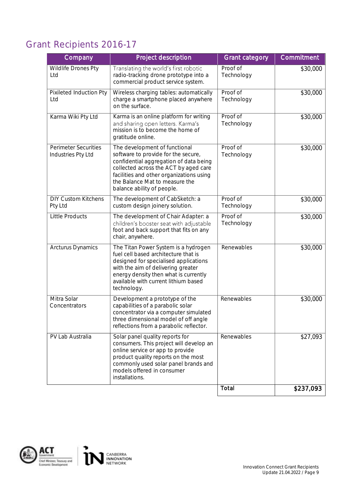## <span id="page-8-0"></span>Grant Recipients 2016-17

| Company                                           | Project description                                                                                                                                                                                                                                                 | <b>Grant category</b>  | Commitment |
|---------------------------------------------------|---------------------------------------------------------------------------------------------------------------------------------------------------------------------------------------------------------------------------------------------------------------------|------------------------|------------|
| Wildlife Drones Pty<br>Ltd                        | Translating the world's first robotic<br>radio-tracking drone prototype into a<br>commercial product service system.                                                                                                                                                | Proof of<br>Technology | \$30,000   |
| Pixileted Induction Pty<br>Ltd                    | Wireless charging tables: automatically<br>charge a smartphone placed anywhere<br>on the surface.                                                                                                                                                                   | Proof of<br>Technology | \$30,000   |
| Karma Wiki Pty Ltd                                | Karma is an online platform for writing<br>and sharing open letters. Karma's<br>mission is to become the home of<br>gratitude online.                                                                                                                               | Proof of<br>Technology | \$30,000   |
| <b>Perimeter Securities</b><br>Industries Pty Ltd | The development of functional<br>software to provide for the secure,<br>confidential aggregation of data being<br>collected across the ACT by aged care<br>facilities and other organizations using<br>the Balance Mat to measure the<br>balance ability of people. | Proof of<br>Technology | \$30,000   |
| <b>DIY Custom Kitchens</b><br>Pty Ltd             | The development of CabSketch: a<br>custom design joinery solution.                                                                                                                                                                                                  | Proof of<br>Technology | \$30,000   |
| <b>Little Products</b>                            | The development of Chair Adapter: a<br>children's booster seat with adjustable<br>foot and back support that fits on any<br>chair, anywhere.                                                                                                                        | Proof of<br>Technology | \$30,000   |
| Arcturus Dynamics                                 | The Titan Power System is a hydrogen<br>fuel cell based architecture that is<br>designed for specialised applications<br>with the aim of delivering greater<br>energy density then what is currently<br>available with current lithium based<br>technology.         | Renewables             | \$30,000   |
| Mitra Solar<br>Concentrators                      | Development a prototype of the<br>capabilities of a parabolic solar<br>concentrator via a computer simulated<br>three dimensional model of off angle<br>reflections from a parabolic reflector.                                                                     | Renewables             | \$30,000   |
| PV Lab Australia                                  | Solar panel quality reports for<br>consumers. This project will develop an<br>online service or app to provide<br>product quality reports on the most<br>commonly used solar panel brands and<br>models offered in consumer<br>installations.                       | Renewables             | \$27,093   |
|                                                   |                                                                                                                                                                                                                                                                     | Total                  | \$237,093  |

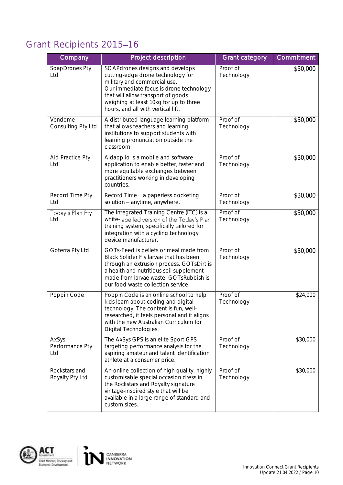### <span id="page-9-0"></span>Grant Recipients 2015-16

| Company                          | Project description                                                                                                                                                                                                                                                   | <b>Grant category</b>  | Commitment |
|----------------------------------|-----------------------------------------------------------------------------------------------------------------------------------------------------------------------------------------------------------------------------------------------------------------------|------------------------|------------|
| SoapDrones Pty<br>Ltd            | SOAPdrones designs and develops<br>cutting-edge drone technology for<br>military and commercial use.<br>Our immediate focus is drone technology<br>that will allow transport of goods<br>weighing at least 10kg for up to three<br>hours, and all with vertical lift. | Proof of<br>Technology | \$30,000   |
| Vendome<br>Consulting Pty Ltd    | A distributed language learning platform<br>that allows teachers and learning<br>institutions to support students with<br>learning pronunciation outside the<br>classroom.                                                                                            | Proof of<br>Technology | \$30,000   |
| Aid Practice Pty<br>Ltd          | Aidapp.io is a mobile and software<br>application to enable better, faster and<br>more equitable exchanges between<br>practitioners working in developing<br>countries.                                                                                               | Proof of<br>Technology | \$30,000   |
| Record Time Pty<br>Ltd           | Record Time - a paperless docketing<br>solution - anytime, anywhere.                                                                                                                                                                                                  | Proof of<br>Technology | \$30,000   |
| Today's Plan Pty<br>Ltd          | The Integrated Training Centre (ITC) is a<br>white-labelled version of the Today's Plan<br>training system, specifically tailored for<br>integration with a cycling technology<br>device manufacturer.                                                                | Proof of<br>Technology | \$30,000   |
| Goterra Pty Ltd                  | GOTs-Feed is pellets or meal made from<br>Black Solider Fly larvae that has been<br>through an extrusion process. GOTsDirt is<br>a health and nutritious soil supplement<br>made from larvae waste. GOTsRubbish is<br>our food waste collection service.              | Proof of<br>Technology | \$30,000   |
| Poppin Code                      | Poppin Code is an online school to help<br>kids learn about coding and digital<br>technology. The content is fun, well-<br>researched, it feels personal and it aligns<br>with the new Australian Curriculum for<br>Digital Technologies.                             | Proof of<br>Technology | \$24,000   |
| AxSys<br>Performance Pty<br>Ltd  | The AxSys GPS is an elite Sport GPS<br>targeting performance analysis for the<br>aspiring amateur and talent identification<br>athlete at a consumer price.                                                                                                           | Proof of<br>Technology | \$30,000   |
| Rockstars and<br>Royalty Pty Ltd | An online collection of high quality, highly<br>customisable special occasion dress in<br>the Rockstars and Royalty signature<br>vintage-inspired style that will be<br>available in a large range of standard and<br>custom sizes.                                   | Proof of<br>Technology | \$30,000   |

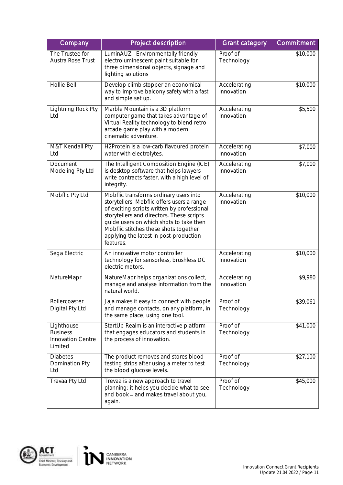| Company                                                       | Project description                                                                                                                                                                                                                                                                                                         | <b>Grant category</b>      | Commitment |
|---------------------------------------------------------------|-----------------------------------------------------------------------------------------------------------------------------------------------------------------------------------------------------------------------------------------------------------------------------------------------------------------------------|----------------------------|------------|
| The Trustee for<br>Austra Rose Trust                          | LuminAUZ - Environmentally friendly<br>electroluminescent paint suitable for<br>three dimensional objects, signage and<br>lighting solutions                                                                                                                                                                                | Proof of<br>Technology     | \$10,000   |
| Hollie Bell                                                   | Develop climb stopper an economical<br>way to improve balcony safety with a fast<br>and simple set up.                                                                                                                                                                                                                      | Accelerating<br>Innovation | \$10,000   |
| Lightning Rock Pty<br>Ltd                                     | Marble Mountain is a 3D platform<br>computer game that takes advantage of<br>Virtual Reality technology to blend retro<br>arcade game play with a modern<br>cinematic adventure.                                                                                                                                            | Accelerating<br>Innovation | \$5,500    |
| M&T Kendall Pty<br>Ltd                                        | H2Protein is a low-carb flavoured protein<br>water with electrolytes.                                                                                                                                                                                                                                                       | Accelerating<br>Innovation | \$7,000    |
| Document<br>Modeling Pty Ltd                                  | The Intelligent Composition Engine (ICE)<br>is desktop software that helps lawyers<br>write contracts faster, with a high level of<br>integrity.                                                                                                                                                                            | Accelerating<br>Innovation | \$7,000    |
| Mobflic Pty Ltd                                               | Mobflic transforms ordinary users into<br>storytellers. Mobflic offers users a range<br>of exciting scripts written by professional<br>storytellers and directors. These scripts<br>guide users on which shots to take then<br>Mobflic stitches these shots together<br>applying the latest in post-production<br>features. | Accelerating<br>Innovation | \$10,000   |
| Sega Electric                                                 | An innovative motor controller<br>technology for sensorless, brushless DC<br>electric motors.                                                                                                                                                                                                                               | Accelerating<br>Innovation | \$10,000   |
| NatureMapr                                                    | NatureMapr helps organizations collect,<br>manage and analyse information from the<br>natural world.                                                                                                                                                                                                                        | Accelerating<br>Innovation | \$9,980    |
| Rollercoaster<br>Digital Pty Ltd                              | Jaja makes it easy to connect with people<br>and manage contacts, on any platform, in<br>the same place, using one tool.                                                                                                                                                                                                    | Proof of<br>Technology     | \$39,061   |
| Lighthouse<br><b>Business</b><br>Innovation Centre<br>Limited | StartUp Realm is an interactive platform<br>that engages educators and students in<br>the process of innovation.                                                                                                                                                                                                            | Proof of<br>Technology     | \$41,000   |
| <b>Diabetes</b><br>Domination Pty<br>Ltd                      | The product removes and stores blood<br>testing strips after using a meter to test<br>the blood glucose levels.                                                                                                                                                                                                             | Proof of<br>Technology     | \$27,100   |
| Trevaa Pty Ltd                                                | Trevaa is a new approach to travel<br>planning: it helps you decide what to see<br>and book - and makes travel about you,<br>again.                                                                                                                                                                                         | Proof of<br>Technology     | \$45,000   |

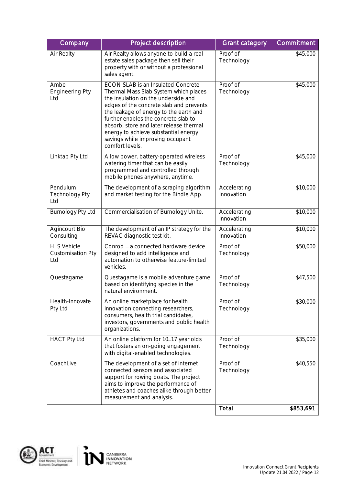| Company                                               | Project description                                                                                                                                                                                                                                                                                                                                                                              | <b>Grant category</b>      | Commitment |
|-------------------------------------------------------|--------------------------------------------------------------------------------------------------------------------------------------------------------------------------------------------------------------------------------------------------------------------------------------------------------------------------------------------------------------------------------------------------|----------------------------|------------|
| Air Realty                                            | Air Realty allows anyone to build a real<br>estate sales package then sell their<br>property with or without a professional<br>sales agent.                                                                                                                                                                                                                                                      | Proof of<br>Technology     | \$45,000   |
| Ambe<br><b>Engineering Pty</b><br>Ltd                 | <b>ECON SLAB is an Insulated Concrete</b><br>Thermal Mass Slab System which places<br>the insulation on the underside and<br>edges of the concrete slab and prevents<br>the leakage of energy to the earth and<br>further enables the concrete slab to<br>absorb, store and later release thermal<br>energy to achieve substantial energy<br>savings while improving occupant<br>comfort levels. | Proof of<br>Technology     | \$45,000   |
| Linktap Pty Ltd                                       | A low power, battery-operated wireless<br>watering timer that can be easily<br>programmed and controlled through<br>mobile phones anywhere, anytime.                                                                                                                                                                                                                                             | Proof of<br>Technology     | \$45,000   |
| Pendulum<br><b>Technology Pty</b><br>Ltd              | The development of a scraping algorithm<br>and market testing for the Bindle App.                                                                                                                                                                                                                                                                                                                | Accelerating<br>Innovation | \$10,000   |
| Burnology Pty Ltd                                     | Commercialisation of Burnology Unite.                                                                                                                                                                                                                                                                                                                                                            | Accelerating<br>Innovation | \$10,000   |
| <b>Agincourt Bio</b><br>Consulting                    | The development of an IP strategy for the<br>REVAC diagnostic test kit.                                                                                                                                                                                                                                                                                                                          | Accelerating<br>Innovation | \$10,000   |
| <b>HLS Vehicle</b><br><b>Customisation Pty</b><br>Ltd | Conrod - a connected hardware device<br>designed to add intelligence and<br>automation to otherwise feature-limited<br>vehicles.                                                                                                                                                                                                                                                                 | Proof of<br>Technology     | \$50,000   |
| Questagame                                            | Questagame is a mobile adventure game<br>based on identifying species in the<br>natural environment.                                                                                                                                                                                                                                                                                             | Proof of<br>Technology     | \$47,500   |
| Health-Innovate<br>Pty Ltd                            | An online marketplace for health<br>innovation connecting researchers,<br>consumers, health trial candidates,<br>investors, governments and public health<br>organizations.                                                                                                                                                                                                                      | Proof of<br>Technology     | \$30,000   |
| <b>HACT Pty Ltd</b>                                   | An online platform for 10-17 year olds<br>that fosters an on-going engagement<br>with digital-enabled technologies.                                                                                                                                                                                                                                                                              | Proof of<br>Technology     | \$35,000   |
| CoachLive                                             | The development of a set of internet<br>connected sensors and associated<br>support for rowing boats. The project<br>aims to improve the performance of<br>athletes and coaches alike through better<br>measurement and analysis.                                                                                                                                                                | Proof of<br>Technology     | \$40,550   |
|                                                       |                                                                                                                                                                                                                                                                                                                                                                                                  | Total                      | \$853,691  |

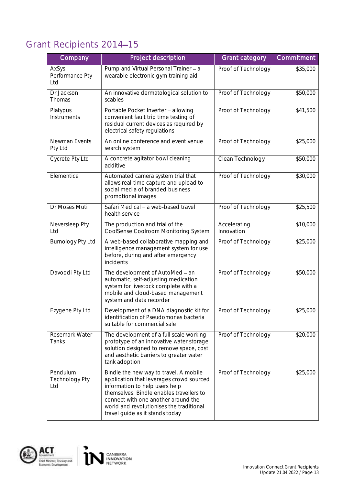### <span id="page-12-0"></span>Grant Recipients 2014-15

| Company                                  | Project description                                                                                                                                                                                                                                                                    | <b>Grant category</b>      | Commitment           |
|------------------------------------------|----------------------------------------------------------------------------------------------------------------------------------------------------------------------------------------------------------------------------------------------------------------------------------------|----------------------------|----------------------|
| AxSys<br>Performance Pty<br>Ltd          | Pump and Virtual Personal Trainer - a<br>wearable electronic gym training aid                                                                                                                                                                                                          | Proof of Technology        | \$35,000             |
| Dr Jackson<br>Thomas                     | An innovative dermatological solution to<br>scabies                                                                                                                                                                                                                                    | Proof of Technology        | \$50,000             |
| Platypus<br>Instruments                  | Portable Pocket Inverter - allowing<br>convenient fault trip time testing of<br>residual current devices as required by<br>electrical safety regulations                                                                                                                               | Proof of Technology        | \$41,500             |
| Newman Events<br>Pty Ltd                 | An online conference and event venue<br>search system                                                                                                                                                                                                                                  | Proof of Technology        | \$25,000             |
| Cycrete Pty Ltd                          | A concrete agitator bowl cleaning<br>additive                                                                                                                                                                                                                                          | Clean Technology           | \$50,000             |
| Elementice                               | Automated camera system trial that<br>allows real-time capture and upload to<br>social media of branded business<br>promotional images                                                                                                                                                 | Proof of Technology        | \$30,000             |
| Dr Moses Muti                            | Safari Medical - a web-based travel<br>health service                                                                                                                                                                                                                                  | Proof of Technology        | $\overline{$}25,500$ |
| Neversleep Pty<br>Ltd                    | The production and trial of the<br>CoolSense Coolroom Monitoring System                                                                                                                                                                                                                | Accelerating<br>Innovation | \$10,000             |
| Burnology Pty Ltd                        | A web-based collaborative mapping and<br>intelligence management system for use<br>before, during and after emergency<br>incidents                                                                                                                                                     | Proof of Technology        | \$25,000             |
| Davoodi Pty Ltd                          | The development of AutoMed - an<br>automatic, self-adjusting medication<br>system for livestock complete with a<br>mobile and cloud-based management<br>system and data recorder                                                                                                       | Proof of Technology        | \$50,000             |
| Ezygene Pty Ltd                          | Development of a DNA diagnostic kit for<br>identification of Pseudomonas bacteria<br>suitable for commercial sale                                                                                                                                                                      | Proof of Technology        | \$25,000             |
| Rosemark Water<br>Tanks                  | The development of a full scale working<br>prototype of an innovative water storage<br>solution designed to remove space, cost<br>and aesthetic barriers to greater water<br>tank adoption                                                                                             | Proof of Technology        | \$20,000             |
| Pendulum<br><b>Technology Pty</b><br>Ltd | Bindle the new way to travel. A mobile<br>application that leverages crowd sourced<br>information to help users help<br>themselves. Bindle enables travellers to<br>connect with one another around the<br>world and revolutionises the traditional<br>travel guide as it stands today | Proof of Technology        | \$25,000             |

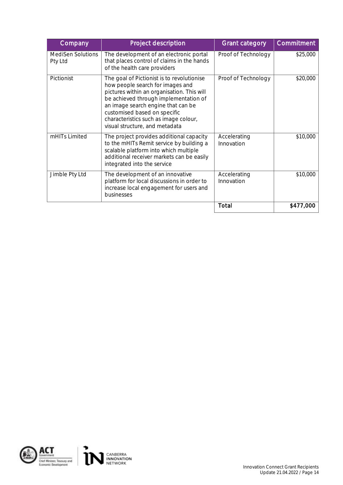| Company                             | Project description                                                                                                                                                                                                                                                                                                    | <b>Grant category</b>      | Commitment |
|-------------------------------------|------------------------------------------------------------------------------------------------------------------------------------------------------------------------------------------------------------------------------------------------------------------------------------------------------------------------|----------------------------|------------|
| <b>MediSen Solutions</b><br>Pty Ltd | The development of an electronic portal<br>that places control of claims in the hands<br>of the health care providers                                                                                                                                                                                                  | Proof of Technology        | \$25,000   |
| Pictionist                          | The goal of Pictionist is to revolutionise<br>how people search for images and<br>pictures within an organisation. This will<br>be achieved through implementation of<br>an image search engine that can be<br>customised based on specific<br>characteristics such as image colour,<br>visual structure, and metadata | Proof of Technology        | \$20,000   |
| mHITs Limited                       | The project provides additional capacity<br>to the mHITs Remit service by building a<br>scalable platform into which multiple<br>additional receiver markets can be easily<br>integrated into the service                                                                                                              | Accelerating<br>Innovation | \$10,000   |
| Jimble Pty Ltd                      | The development of an innovative<br>platform for local discussions in order to<br>increase local engagement for users and<br>businesses                                                                                                                                                                                | Accelerating<br>Innovation | \$10,000   |
|                                     |                                                                                                                                                                                                                                                                                                                        | Total                      | \$477,000  |

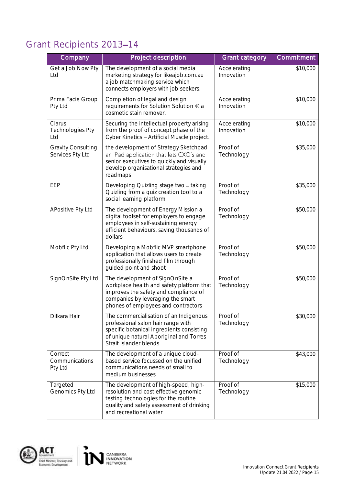## <span id="page-14-0"></span>Grant Recipients 2013-14

| Company                                       | Project description                                                                                                                                                                               | <b>Grant category</b>      | Commitment |
|-----------------------------------------------|---------------------------------------------------------------------------------------------------------------------------------------------------------------------------------------------------|----------------------------|------------|
| Get a Job Now Pty<br>Ltd                      | The development of a social media<br>marketing strategy for likeajob.com.au -<br>a job matchmaking service which<br>connects employers with job seekers.                                          | Accelerating<br>Innovation | \$10,000   |
| Prima Facie Group<br>Pty Ltd                  | Completion of legal and design<br>requirements for Solution Solution ® a<br>cosmetic stain remover.                                                                                               | Accelerating<br>Innovation | \$10,000   |
| Clarus<br><b>Technologies Pty</b><br>Ltd      | Securing the intellectual property arising<br>from the proof of concept phase of the<br>Cyber Kinetics - Artificial Muscle project.                                                               | Accelerating<br>Innovation | \$10,000   |
| <b>Gravity Consulting</b><br>Services Pty Ltd | the development of Strategy Sketchpad<br>an iPad application that lets CXO's and<br>senior executives to quickly and visually<br>develop organisational strategies and<br>roadmaps                | Proof of<br>Technology     | \$35,000   |
| EEP                                           | Developing Quizling stage two - taking<br>Quizling from a quiz creation tool to a<br>social learning platform                                                                                     | Proof of<br>Technology     | \$35,000   |
| APositive Pty Ltd                             | The development of Energy Mission a<br>digital toolset for employers to engage<br>employees in self-sustaining energy<br>efficient behaviours, saving thousands of<br>dollars                     | Proof of<br>Technology     | \$50,000   |
| Mobflic Pty Ltd                               | Developing a Mobflic MVP smartphone<br>application that allows users to create<br>professionally finished film through<br>guided point and shoot                                                  | Proof of<br>Technology     | \$50,000   |
| SignOnSite Pty Ltd                            | The development of SignOnSite a<br>workplace health and safety platform that<br>improves the safety and compliance of<br>companies by leveraging the smart<br>phones of employees and contractors | Proof of<br>Technology     | \$50,000   |
| Dilkara Hair                                  | The commercialisation of an Indigenous<br>professional salon hair range with<br>specific botanical ingredients consisting<br>of unique natural Aboriginal and Torres<br>Strait Islander blends    | Proof of<br>Technology     | \$30,000   |
| Correct<br>Communications<br>Pty Ltd          | The development of a unique cloud-<br>based service focussed on the unified<br>communications needs of small to<br>medium businesses                                                              | Proof of<br>Technology     | \$43,000   |
| Targeted<br>Genomics Pty Ltd                  | The development of high-speed, high-<br>resolution and cost effective genomic<br>testing technologies for the routine<br>quality and safety assessment of drinking<br>and recreational water      | Proof of<br>Technology     | \$15,000   |

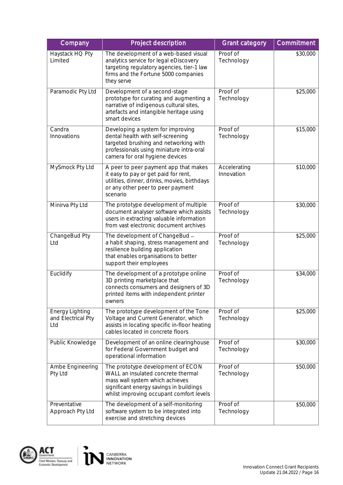| Company                                      | Project description                                                                                                                                                                               | <b>Grant category</b>      | Commitment |
|----------------------------------------------|---------------------------------------------------------------------------------------------------------------------------------------------------------------------------------------------------|----------------------------|------------|
| Haystack HQ Pty<br>Limited                   | The development of a web-based visual<br>analytics service for legal eDiscovery<br>targeting regulatory agencies, tier-1 law<br>firms and the Fortune 5000 companies<br>they serve                | Proof of<br>Technology     | \$30,000   |
| Paramodic Pty Ltd                            | Development of a second-stage<br>prototype for curating and augmenting a<br>narrative of indigenous cultural sites,<br>artefacts and intangible heritage using<br>smart devices                   | Proof of<br>Technology     | \$25,000   |
| Candra<br>Innovations                        | Developing a system for improving<br>dental health with self-screening<br>targeted brushing and networking with<br>professionals using miniature intra-oral<br>camera for oral hygiene devices    | Proof of<br>Technology     | \$15,000   |
| MySmock Pty Ltd                              | A peer to peer payment app that makes<br>it easy to pay or get paid for rent,<br>utilities, dinner, drinks, movies, birthdays<br>or any other peer to peer payment<br>scenario                    | Accelerating<br>Innovation | \$10,000   |
| Minirva Pty Ltd                              | The prototype development of multiple<br>document analyser software which assists<br>users in extracting valuable information<br>from vast electronic document archives                           | Proof of<br>Technology     | \$30,000   |
| ChangeBud Pty<br>Ltd                         | The development of ChangeBud -<br>a habit shaping, stress management and<br>resilience building application<br>that enables organisations to better<br>support their employees                    | Proof of<br>Technology     | \$25,000   |
| Euclidify                                    | The development of a prototype online<br>3D printing marketplace that<br>connects consumers and designers of 3D<br>printed items with independent printer<br>owners                               | Proof of<br>Technology     | \$34,000   |
| Energy Lighting<br>and Electrical Pty<br>Ltd | The prototype development of the Tone<br>Voltage and Current Generator, which<br>assists in locating specific in-floor heating<br>cables located in concrete floors                               | Proof of<br>Technology     | \$25,000   |
| Public Knowledge                             | Development of an online clearinghouse<br>for Federal Government budget and<br>operational information                                                                                            | Proof of<br>Technology     | \$30,000   |
| Ambe Engineering<br>Pty Ltd                  | The prototype development of ECON<br>WALL an insulated concrete thermal<br>mass wall system which achieves<br>significant energy savings in buildings<br>whilst improving occupant comfort levels | Proof of<br>Technology     | \$50,000   |
| Preventative<br>Approach Pty Ltd             | The development of a self-monitoring<br>software system to be integrated into<br>exercise and stretching devices                                                                                  | Proof of<br>Technology     | \$50,000   |



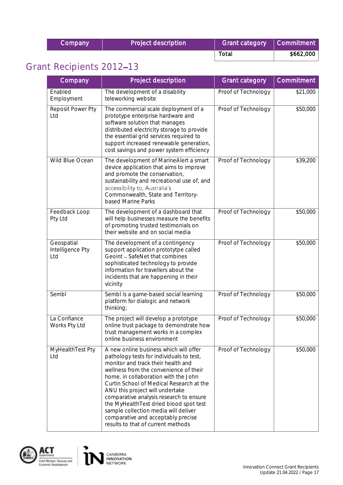| Company | Project description | <b>Grant category</b> | Commitment <sup>'</sup> |
|---------|---------------------|-----------------------|-------------------------|
|         |                     | Total                 | \$662,000               |

## <span id="page-16-0"></span>Grant Recipients 2012-13

| Company                               | Project description                                                                                                                                                                                                                                                                                                                                                                                                                                                                                | <b>Grant category</b> | Commitment |
|---------------------------------------|----------------------------------------------------------------------------------------------------------------------------------------------------------------------------------------------------------------------------------------------------------------------------------------------------------------------------------------------------------------------------------------------------------------------------------------------------------------------------------------------------|-----------------------|------------|
| Enabled<br>Employment                 | The development of a disability<br>teleworking website                                                                                                                                                                                                                                                                                                                                                                                                                                             | Proof of Technology   | \$21,000   |
| Reposit Power Pty<br>Ltd              | The commercial scale deployment of a<br>prototype enterprise hardware and<br>software solution that manages<br>distributed electricity storage to provide<br>the essential grid services required to<br>support increased renewable generation,<br>cost savings and power system efficiency                                                                                                                                                                                                        | Proof of Technology   | \$50,000   |
| Wild Blue Ocean                       | The development of MarineAlert a smart<br>device application that aims to improve<br>and promote the conservation,<br>sustainability and recreational use of, and<br>accessibility to, Australia's<br>Commonwealth, State and Territory-<br>based Marine Parks                                                                                                                                                                                                                                     | Proof of Technology   | \$39,200   |
| Feedback Loop<br>Pty Ltd              | The development of a dashboard that<br>will help businesses measure the benefits<br>of promoting trusted testimonials on<br>their website and on social media                                                                                                                                                                                                                                                                                                                                      | Proof of Technology   | \$50,000   |
| Geospatial<br>Intelligence Pty<br>Ltd | The development of a contingency<br>support application prototytpe called<br>Geoint - SafeNet that combines<br>sophisticated technology to provide<br>information for travellers about the<br>incidents that are happening in their<br>vicinity                                                                                                                                                                                                                                                    | Proof of Technology   | \$50,000   |
| Sembl                                 | Sembl is a game-based social learning<br>platform for dialogic and network<br>thinking;                                                                                                                                                                                                                                                                                                                                                                                                            | Proof of Technology   | \$50,000   |
| La Confiance<br>Works Pty Ltd         | The project will develop a prototype<br>online trust package to demonstrate how<br>trust management works in a complex<br>online business environment                                                                                                                                                                                                                                                                                                                                              | Proof of Technology   | \$50,000   |
| MyHealthTest Pty<br>Ltd               | A new online business which will offer<br>pathology tests for individuals to test,<br>monitor and track their health and<br>wellness from the convenience of their<br>home. in collaboration with the John<br>Curtin School of Medical Research at the<br>ANU this project will undertake<br>comparative analysis research to ensure<br>the MyHealthTest dried blood spot test<br>sample collection media will deliver<br>comparative and acceptably precise<br>results to that of current methods | Proof of Technology   | \$50,000   |



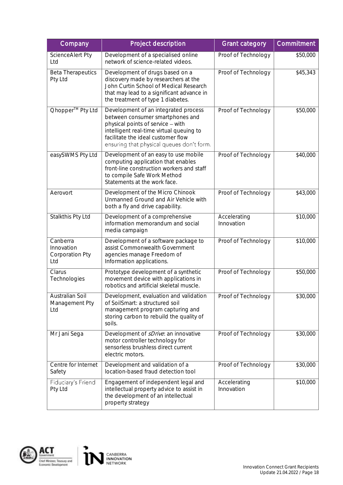| Company                                          | Project description                                                                                                                                                                                                                          | <b>Grant category</b>      | Commitment |
|--------------------------------------------------|----------------------------------------------------------------------------------------------------------------------------------------------------------------------------------------------------------------------------------------------|----------------------------|------------|
| ScienceAlert Pty<br>Ltd                          | Development of a specialised online<br>network of science-related videos.                                                                                                                                                                    | Proof of Technology        | \$50,000   |
| <b>Beta Therapeutics</b><br>Pty Ltd              | Development of drugs based on a<br>discovery made by researchers at the<br>John Curtin School of Medical Research<br>that may lead to a significant advance in<br>the treatment of type 1 diabetes.                                          | Proof of Technology        | \$45,343   |
| Ohopper <sup>™</sup> Pty Ltd                     | Development of an integrated process<br>between consumer smartphones and<br>physical points of service - with<br>intelligent real-time virtual queuing to<br>facilitate the ideal customer flow<br>ensuring that physical queues don't form. | Proof of Technology        | \$50,000   |
| easySWMS Pty Ltd                                 | Development of an easy to use mobile<br>computing application that enables<br>front-line construction workers and staff<br>to compile Safe Work Method<br>Statements at the work face.                                                       | Proof of Technology        | \$40,000   |
| Aerovort                                         | Development of the Micro Chinook<br>Unmanned Ground and Air Vehicle with<br>both a fly and drive capability.                                                                                                                                 | Proof of Technology        | \$43,000   |
| Stalkthis Pty Ltd                                | Development of a comprehensive<br>information memorandum and social<br>media campaign                                                                                                                                                        | Accelerating<br>Innovation | \$10,000   |
| Canberra<br>Innovation<br>Corporation Pty<br>Ltd | Development of a software package to<br>assist Commonwealth Government<br>agencies manage Freedom of<br>Information applications.                                                                                                            | Proof of Technology        | \$10,000   |
| Clarus<br>Technologies                           | Prototype development of a synthetic<br>movement device with applications in<br>robotics and artificial skeletal muscle.                                                                                                                     | Proof of Technology        | \$50,000   |
| <b>Australian Soil</b><br>Management Pty<br>Ltd  | Development, evaluation and validation<br>of SoilSmart: a structured soil<br>management program capturing and<br>storing carbon to rebuild the quality of<br>soils.                                                                          | Proof of Technology        | \$30,000   |
| Mr Jani Sega                                     | Development of <i>sDrive</i> : an innovative<br>motor controller technology for<br>sensorless brushless direct current<br>electric motors.                                                                                                   | Proof of Technology        | \$30,000   |
| Centre for Internet<br>Safety                    | Development and validation of a<br>location-based fraud detection tool                                                                                                                                                                       | Proof of Technology        | \$30,000   |
| Fiduciary's Friend<br>Pty Ltd                    | Engagement of independent legal and<br>intellectual property advice to assist in<br>the development of an intellectual<br>property strategy                                                                                                  | Accelerating<br>Innovation | \$10,000   |

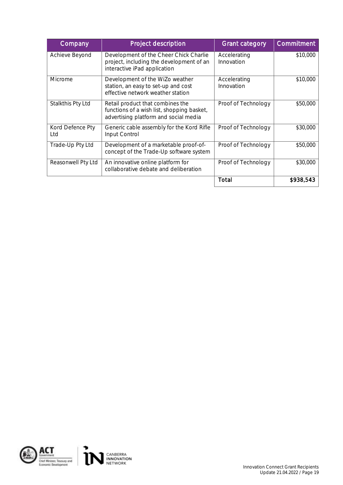| Company                 | Project description                                                                                                     | <b>Grant category</b>      | Commitment |
|-------------------------|-------------------------------------------------------------------------------------------------------------------------|----------------------------|------------|
| Achieve Beyond          | Development of the Cheer Chick Charlie<br>project, including the development of an<br>interactive iPad application      | Accelerating<br>Innovation | \$10,000   |
| Microme                 | Development of the WiZo weather<br>station, an easy to set-up and cost<br>effective network weather station             | Accelerating<br>Innovation | \$10,000   |
| Stalkthis Pty Ltd       | Retail product that combines the<br>functions of a wish list, shopping basket,<br>advertising platform and social media | Proof of Technology        | \$50,000   |
| Kord Defence Pty<br>Ltd | Generic cable assembly for the Kord Rifle<br>Input Control                                                              | Proof of Technology        | \$30,000   |
| Trade-Up Pty Ltd        | Development of a marketable proof-of-<br>concept of the Trade-Up software system                                        | Proof of Technology        | \$50,000   |
| Reasonwell Pty Ltd      | An innovative online platform for<br>collaborative debate and deliberation                                              | Proof of Technology        | \$30,000   |
|                         |                                                                                                                         | Total                      | \$938,543  |

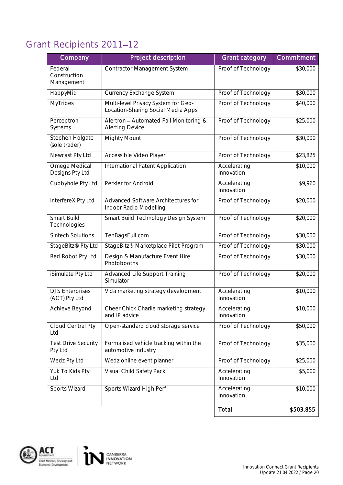## <span id="page-19-0"></span>Grant Recipients 2011-12

| Company                                 | Project description                                                       | <b>Grant category</b>      | Commitment |
|-----------------------------------------|---------------------------------------------------------------------------|----------------------------|------------|
| Federal<br>Construction<br>Management   | <b>Contractor Management System</b>                                       | Proof of Technology        | \$30,000   |
| HappyMid                                | Currency Exchange System                                                  | Proof of Technology        | \$30,000   |
| <b>MyTribes</b>                         | Multi-level Privacy System for Geo-<br>Location-Sharing Social Media Apps | Proof of Technology        | \$40,000   |
| Perceptron<br>Systems                   | Alertron - Automated Fall Monitoring &<br><b>Alerting Device</b>          | Proof of Technology        | \$25,000   |
| Stephen Holgate<br>(sole trader)        | Mighty Mount                                                              | Proof of Technology        | \$30,000   |
| Newcast Pty Ltd                         | Accessible Video Player                                                   | Proof of Technology        | \$23,825   |
| Omega Medical<br>Designs Pty Ltd        | International Patent Application                                          | Accelerating<br>Innovation | \$10,000   |
| Cubbyhole Pty Ltd                       | Perkler for Android                                                       | Accelerating<br>Innovation | \$9,960    |
| InterfereX Pty Ltd                      | Advanced Software Architectures for<br>Indoor Radio Modelling             | Proof of Technology        | \$20,000   |
| Smart Build<br>Technologies             | Smart Build Technology Design System                                      | Proof of Technology        | \$20,000   |
| <b>Sintech Solutions</b>                | TenBagsFull.com                                                           | Proof of Technology        | \$30,000   |
| StageBitz <sup>®</sup> Pty Ltd          | StageBitz® Marketplace Pilot Program                                      | Proof of Technology        | \$30,000   |
| Red Robot Pty Ltd                       | Design & Manufacture Event Hire<br>Photobooths                            | Proof of Technology        | \$30,000   |
| iSimulate Pty Ltd                       | <b>Advanced Life Support Training</b><br>Simulator                        | Proof of Technology        | \$20,000   |
| <b>DJS Enterprises</b><br>(ACT) Pty Ltd | Vida marketing strategy development                                       | Accelerating<br>Innovation | \$10,000   |
| Achieve Beyond                          | Cheer Chick Charlie marketing strategy<br>and IP advice                   | Accelerating<br>Innovation | \$10,000   |
| Cloud Central Pty<br>Ltd                | Open-standard cloud storage service                                       | Proof of Technology        | \$50,000   |
| <b>Test Drive Security</b><br>Pty Ltd   | Formalised vehicle tracking within the<br>automotive industry             | Proof of Technology        | \$35,000   |
| Wedz Pty Ltd                            | Wedz online event planner                                                 | Proof of Technology        | \$25,000   |
| Yuk To Kids Pty<br>Ltd                  | Visual Child Safety Pack                                                  | Accelerating<br>Innovation | \$5,000    |
| Sports Wizard                           | Sports Wizard High Perf                                                   | Accelerating<br>Innovation | \$10,000   |
|                                         |                                                                           | Total                      | \$503,855  |

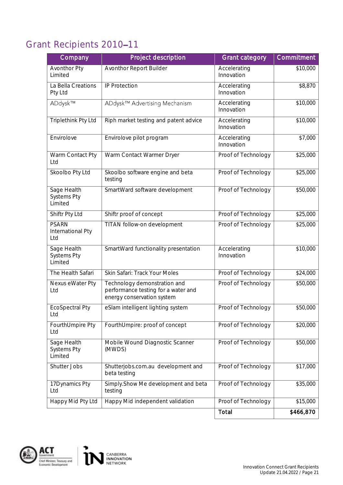## <span id="page-20-0"></span>Grant Recipients 2010-11

| Company                                      | Project description                                                                               | <b>Grant category</b>      | Commitment |
|----------------------------------------------|---------------------------------------------------------------------------------------------------|----------------------------|------------|
| Avonthor Pty<br>Limited                      | Avonthor Report Builder                                                                           | Accelerating<br>Innovation | \$10,000   |
| La Bella Creations<br>Pty Ltd                | <b>IP Protection</b>                                                                              | Accelerating<br>Innovation | \$8,870    |
| ADdysk™                                      | ADdysk™ Advertising Mechanism                                                                     | Accelerating<br>Innovation | \$10,000   |
| Triplethink Pty Ltd                          | Riph market testing and patent advice                                                             | Accelerating<br>Innovation | \$10,000   |
| Envirolove                                   | Envirolove pilot program                                                                          | Accelerating<br>Innovation | \$7,000    |
| Warm Contact Pty<br>Ltd                      | Warm Contact Warmer Dryer                                                                         | Proof of Technology        | \$25,000   |
| Skoolbo Pty Ltd                              | Skoolbo software engine and beta<br>testing                                                       | Proof of Technology        | \$25,000   |
| Sage Health<br><b>Systems Pty</b><br>Limited | SmartWard software development                                                                    | Proof of Technology        | \$50,000   |
| Shiftr Pty Ltd                               | Shiftr proof of concept                                                                           | Proof of Technology        | \$25,000   |
| <b>PSARN</b><br>International Pty<br>Ltd     | <b>TITAN follow-on development</b>                                                                | Proof of Technology        | \$25,000   |
| Sage Health<br><b>Systems Pty</b><br>Limited | SmartWard functionality presentation                                                              | Accelerating<br>Innovation | \$10,000   |
| The Health Safari                            | Skin Safari: Track Your Moles                                                                     | Proof of Technology        | \$24,000   |
| Nexus eWater Pty<br>Ltd                      | Technology demonstration and<br>performance testing for a water and<br>energy conservation system | Proof of Technology        | \$50,000   |
| <b>EcoSpectral Pty</b><br>Ltd                | eSlam intelligent lighting system                                                                 | Proof of Technology        | \$50,000   |
| FourthUmpire Pty<br>Ltd                      | FourthUmpire: proof of concept                                                                    | Proof of Technology        | \$20,000   |
| Sage Health<br><b>Systems Pty</b><br>Limited | Mobile Wound Diagnostic Scanner<br>(MWDS)                                                         | Proof of Technology        | \$50,000   |
| Shutter Jobs                                 | Shutterjobs.com.au development and<br>beta testing                                                | Proof of Technology        | \$17,000   |
| 17Dynamics Pty<br>Ltd                        | Simply.Show Me development and beta<br>testing                                                    | Proof of Technology        | \$35,000   |
| Happy Mid Pty Ltd                            | Happy Mid independent validation                                                                  | Proof of Technology        | \$15,000   |
|                                              |                                                                                                   | Total                      | \$466,870  |

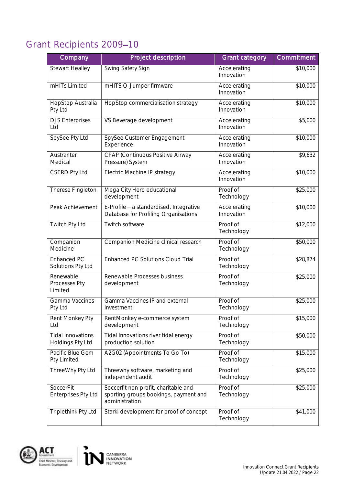### <span id="page-21-0"></span>Grant Recipients 2009-10

| Company                                      | Project description                                                                             | <b>Grant category</b>      | Commitment      |
|----------------------------------------------|-------------------------------------------------------------------------------------------------|----------------------------|-----------------|
| <b>Stewart Healley</b>                       | Swing Safety Sign                                                                               | Accelerating<br>Innovation | \$10,000        |
| mHITs Limited                                | mHITS Q-Jumper firmware                                                                         | Accelerating<br>Innovation | \$10,000        |
| HopStop Australia<br>Pty Ltd                 | HopStop commercialisation strategy                                                              | Accelerating<br>Innovation | \$10,000        |
| <b>DJS Enterprises</b><br>Ltd                | VS Beverage development                                                                         | Accelerating<br>Innovation | \$5,000         |
| SpySee Pty Ltd                               | SpySee Customer Engagement<br>Experience                                                        | Accelerating<br>Innovation | \$10,000        |
| Austranter<br>Medical                        | CPAP (Continuous Positive Airway<br>Pressure) System                                            | Accelerating<br>Innovation | \$9,632         |
| <b>CSERD Pty Ltd</b>                         | Electric Machine IP strategy                                                                    | Accelerating<br>Innovation | \$10,000        |
| Therese Fingleton                            | Mega City Hero educational<br>development                                                       | Proof of<br>Technology     | \$25,000        |
| Peak Achievement                             | E-Profile - a standardised, Integrative<br>Database for Profiling Organisations                 | Accelerating<br>Innovation | \$10,000        |
| <b>Twitch Pty Ltd</b>                        | Twitch software                                                                                 | Proof of<br>Technology     | \$12,000        |
| Companion<br>Medicine                        | Companion Medicine clinical research                                                            | Proof of<br>Technology     | \$50,000        |
| Enhanced PC<br>Solutions Pty Ltd             | <b>Enhanced PC Solutions Cloud Trial</b>                                                        | Proof of<br>Technology     | \$28,874        |
| Renewable<br>Processes Pty<br>Limited        | Renewable Processes business<br>development                                                     | Proof of<br>Technology     | $\bar{$}25,000$ |
| Gamma Vaccines<br>Pty Ltd                    | Gamma Vaccines IP and external<br>investment                                                    | Proof of<br>Technology     | \$25,000        |
| Rent Monkey Pty<br>Ltd                       | RentMonkey e-commerce system<br>development                                                     | Proof of<br>Technology     | \$15,000        |
| <b>Tidal Innovations</b><br>Holdings Pty Ltd | Tidal Innovations river tidal energy<br>production solution                                     | Proof of<br>Technology     | \$50,000        |
| Pacific Blue Gem<br>Pty Limited              | A2G02 (Appointments To Go To)                                                                   | Proof of<br>Technology     | \$15,000        |
| ThreeWhy Pty Ltd                             | Threewhy software, marketing and<br>independent audit                                           | Proof of<br>Technology     | \$25,000        |
| SoccerFit<br><b>Enterprises Pty Ltd</b>      | Soccerfit non-profit, charitable and<br>sporting groups bookings, payment and<br>administration | Proof of<br>Technology     | \$25,000        |
| Triplethink Pty Ltd                          | Starki development for proof of concept                                                         | Proof of<br>Technology     | \$41,000        |



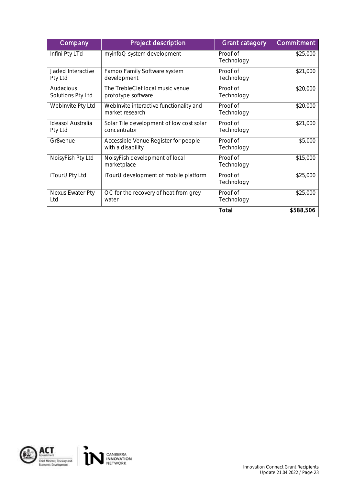| Company                        | Project description                                        | <b>Grant category</b>  | Commitment |
|--------------------------------|------------------------------------------------------------|------------------------|------------|
| Infini Pty LTd                 | myinfoQ system development                                 | Proof of<br>Technology | \$25,000   |
| Jaded Interactive<br>Pty Ltd   | Famoo Family Software system<br>development                | Proof of<br>Technology | \$21,000   |
| Audacious<br>Solutions Pty Ltd | The TrebleClef local music venue<br>prototype software     | Proof of<br>Technology | \$20,000   |
| WebInvite Pty Ltd              | WebInvite interactive functionality and<br>market research | Proof of<br>Technology | \$20,000   |
| Ideasol Australia<br>Pty Ltd   | Solar Tile development of low cost solar<br>concentrator   | Proof of<br>Technology | \$21,000   |
| Gr8venue                       | Accessible Venue Register for people<br>with a disability  | Proof of<br>Technology | \$5,000    |
| NoisyFish Pty Ltd              | NoisyFish development of local<br>marketplace              | Proof of<br>Technology | \$15,000   |
| iTourU Pty Ltd                 | iTourU development of mobile platform                      | Proof of<br>Technology | \$25,000   |
| Nexus Ewater Pty<br>Ltd        | OC for the recovery of heat from grey<br>water             | Proof of<br>Technology | \$25,000   |
|                                |                                                            | Total                  | \$588,506  |